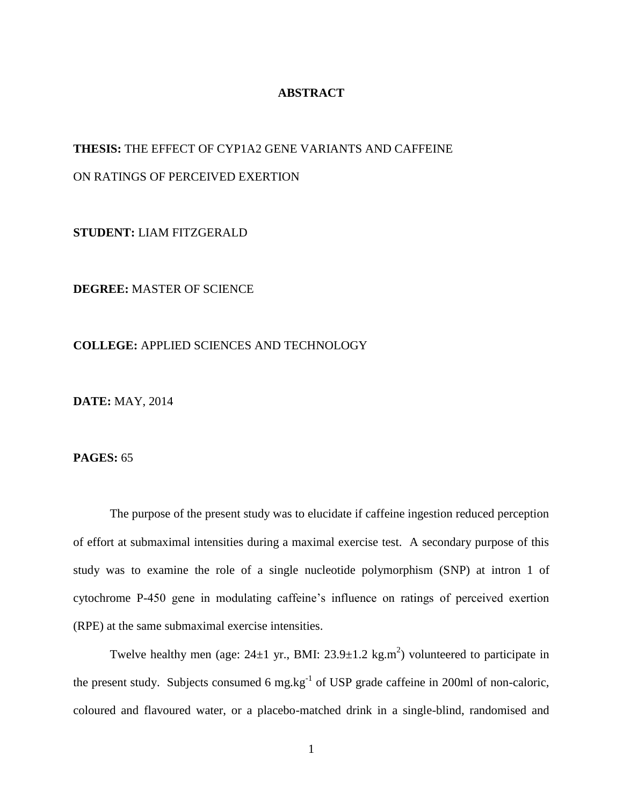## **ABSTRACT**

## **THESIS:** THE EFFECT OF CYP1A2 GENE VARIANTS AND CAFFEINE

# ON RATINGS OF PERCEIVED EXERTION

**STUDENT:** LIAM FITZGERALD

**DEGREE:** MASTER OF SCIENCE

#### **COLLEGE:** APPLIED SCIENCES AND TECHNOLOGY

**DATE:** MAY, 2014

# **PAGES:** 65

The purpose of the present study was to elucidate if caffeine ingestion reduced perception of effort at submaximal intensities during a maximal exercise test. A secondary purpose of this study was to examine the role of a single nucleotide polymorphism (SNP) at intron 1 of cytochrome P-450 gene in modulating caffeine's influence on ratings of perceived exertion (RPE) at the same submaximal exercise intensities.

Twelve healthy men (age:  $24\pm1$  yr., BMI:  $23.9\pm1.2$  kg.m<sup>2</sup>) volunteered to participate in the present study. Subjects consumed 6 mg.kg<sup>-1</sup> of USP grade caffeine in 200ml of non-caloric, coloured and flavoured water, or a placebo-matched drink in a single-blind, randomised and